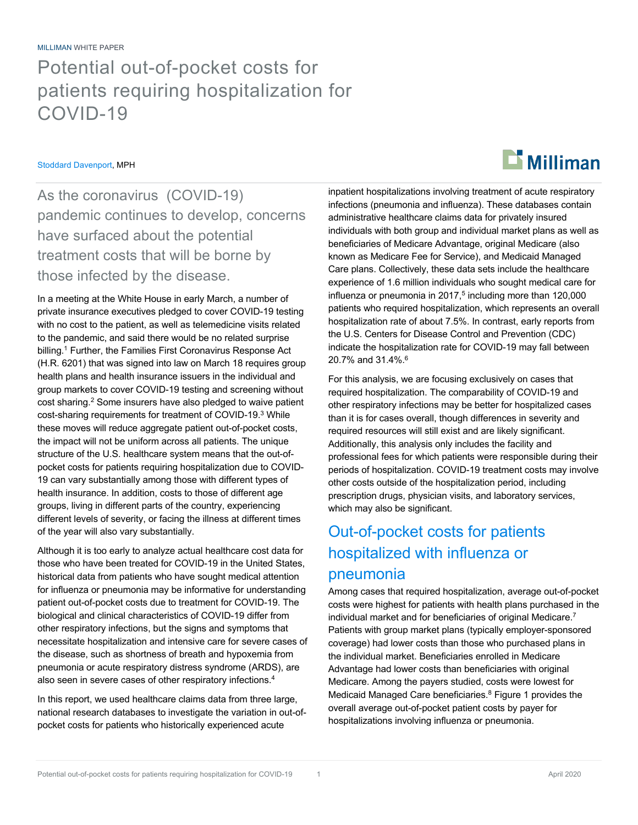MILLIMAN WHITE PAPER

## Potential out-of-pocket costs for patients requiring hospitalization for COVID-19

#### Stoddard Davenport, MPH

As the coronavirus (COVID-19) pandemic continues to develop, concerns have surfaced about the potential treatment costs that will be borne by those infected by the disease.

In a meeting at the White House in early March, a number of private insurance executives pledged to cover COVID-19 testing with no cost to the patient, as well as telemedicine visits related to the pandemic, and said there would be no related surprise billing.<sup>1</sup> Further, the Families First Coronavirus Response Act (H.R. 6201) that was signed into law on March 18 requires group health plans and health insurance issuers in the individual and group markets to cover COVID-19 testing and screening without cost sharing.2 Some insurers have also pledged to waive patient cost-sharing requirements for treatment of COVID-19.3 While these moves will reduce aggregate patient out-of-pocket costs, the impact will not be uniform across all patients. The unique structure of the U.S. healthcare system means that the out-ofpocket costs for patients requiring hospitalization due to COVID-19 can vary substantially among those with different types of health insurance. In addition, costs to those of different age groups, living in different parts of the country, experiencing different levels of severity, or facing the illness at different times of the year will also vary substantially.

Although it is too early to analyze actual healthcare cost data for those who have been treated for COVID-19 in the United States, historical data from patients who have sought medical attention for influenza or pneumonia may be informative for understanding patient out-of-pocket costs due to treatment for COVID-19. The biological and clinical characteristics of COVID-19 differ from other respiratory infections, but the signs and symptoms that necessitate hospitalization and intensive care for severe cases of the disease, such as shortness of breath and hypoxemia from pneumonia or acute respiratory distress syndrome (ARDS), are also seen in severe cases of other respiratory infections.4

In this report, we used healthcare claims data from three large, national research databases to investigate the variation in out-ofpocket costs for patients who historically experienced acute

inpatient hospitalizations involving treatment of acute respiratory infections (pneumonia and influenza). These databases contain administrative healthcare claims data for privately insured individuals with both group and individual market plans as well as beneficiaries of Medicare Advantage, original Medicare (also known as Medicare Fee for Service), and Medicaid Managed Care plans. Collectively, these data sets include the healthcare experience of 1.6 million individuals who sought medical care for influenza or pneumonia in  $2017<sup>5</sup>$  including more than 120,000 patients who required hospitalization, which represents an overall hospitalization rate of about 7.5%. In contrast, early reports from the U.S. Centers for Disease Control and Prevention (CDC) indicate the hospitalization rate for COVID-19 may fall between 20.7% and 31.4%.<sup>6</sup>

For this analysis, we are focusing exclusively on cases that required hospitalization. The comparability of COVID-19 and other respiratory infections may be better for hospitalized cases than it is for cases overall, though differences in severity and required resources will still exist and are likely significant. Additionally, this analysis only includes the facility and professional fees for which patients were responsible during their periods of hospitalization. COVID-19 treatment costs may involve other costs outside of the hospitalization period, including prescription drugs, physician visits, and laboratory services, which may also be significant.

### Out-of-pocket costs for patients hospitalized with influenza or pneumonia

Among cases that required hospitalization, average out-of-pocket costs were highest for patients with health plans purchased in the individual market and for beneficiaries of original Medicare.7 Patients with group market plans (typically employer-sponsored coverage) had lower costs than those who purchased plans in the individual market. Beneficiaries enrolled in Medicare Advantage had lower costs than beneficiaries with original Medicare. Among the payers studied, costs were lowest for Medicaid Managed Care beneficiaries. $8$  Figure 1 provides the overall average out-of-pocket patient costs by payer for hospitalizations involving influenza or pneumonia.

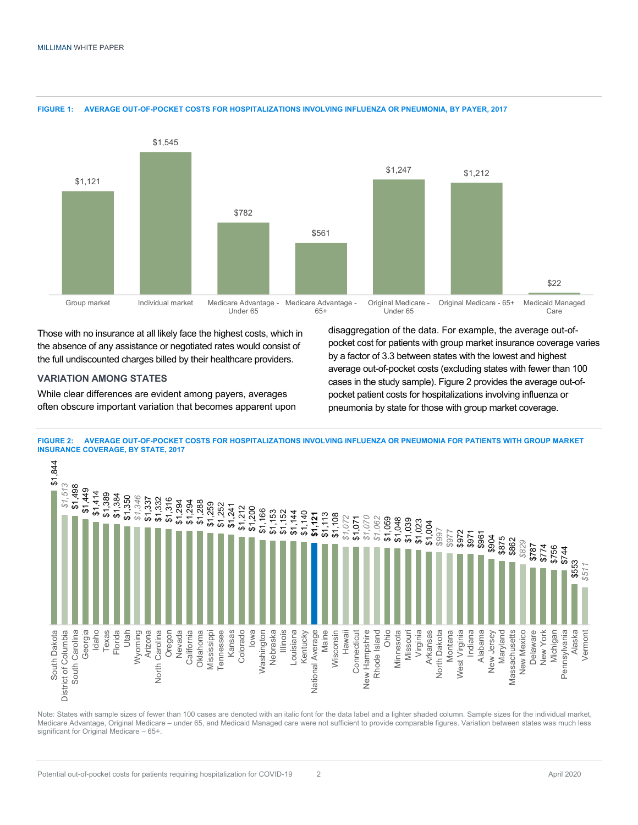

**FIGURE 1: AVERAGE OUT-OF-POCKET COSTS FOR HOSPITALIZATIONS INVOLVING INFLUENZA OR PNEUMONIA, BY PAYER, 2017**

Those with no insurance at all likely face the highest costs, which in the absence of any assistance or negotiated rates would consist of the full undiscounted charges billed by their healthcare providers.

#### **VARIATION AMONG STATES**

While clear differences are evident among payers, averages often obscure important variation that becomes apparent upon disaggregation of the data. For example, the average out-ofpocket cost for patients with group market insurance coverage varies by a factor of 3.3 between states with the lowest and highest average out-of-pocket costs (excluding states with fewer than 100 cases in the study sample). Figure 2 provides the average out-ofpocket patient costs for hospitalizations involving influenza or pneumonia by state for those with group market coverage.

**FIGURE 2: AVERAGE OUT-OF-POCKET COSTS FOR HOSPITALIZATIONS INVOLVING INFLUENZA OR PNEUMONIA FOR PATIENTS WITH GROUP MARKET INSURANCE COVERAGE, BY STATE, 2017**



Note: States with sample sizes of fewer than 100 cases are denoted with an italic font for the data label and a lighter shaded column. Sample sizes for the individual market, Medicare Advantage, Original Medicare – under 65, and Medicaid Managed care were not sufficient to provide comparable figures. Variation between states was much less significant for Original Medicare – 65+.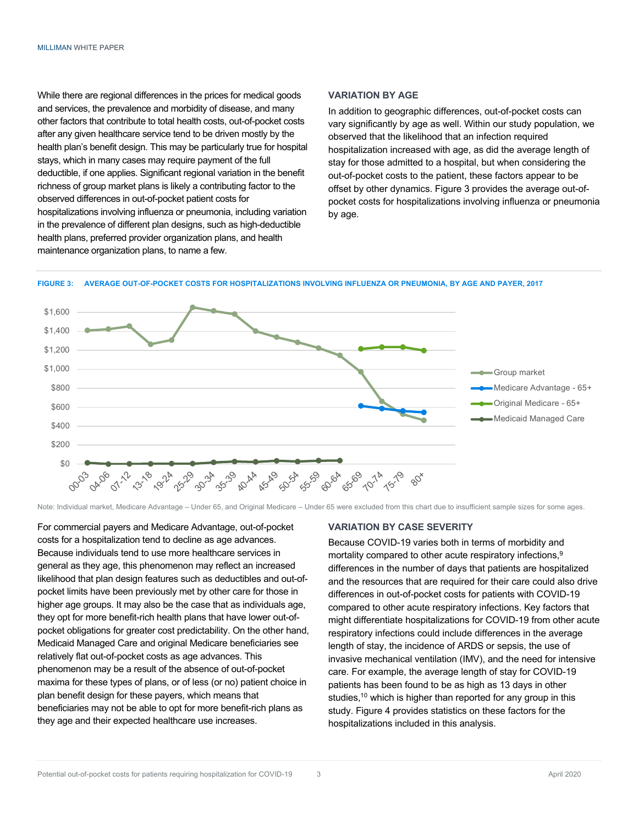While there are regional differences in the prices for medical goods and services, the prevalence and morbidity of disease, and many other factors that contribute to total health costs, out-of-pocket costs after any given healthcare service tend to be driven mostly by the health plan's benefit design. This may be particularly true for hospital stays, which in many cases may require payment of the full deductible, if one applies. Significant regional variation in the benefit richness of group market plans is likely a contributing factor to the observed differences in out-of-pocket patient costs for hospitalizations involving influenza or pneumonia, including variation in the prevalence of different plan designs, such as high-deductible health plans, preferred provider organization plans, and health maintenance organization plans, to name a few.

#### **VARIATION BY AGE**

In addition to geographic differences, out-of-pocket costs can vary significantly by age as well. Within our study population, we observed that the likelihood that an infection required hospitalization increased with age, as did the average length of stay for those admitted to a hospital, but when considering the out-of-pocket costs to the patient, these factors appear to be offset by other dynamics. Figure 3 provides the average out-ofpocket costs for hospitalizations involving influenza or pneumonia by age.

#### **FIGURE 3: AVERAGE OUT-OF-POCKET COSTS FOR HOSPITALIZATIONS INVOLVING INFLUENZA OR PNEUMONIA, BY AGE AND PAYER, 2017**



Note: Individual market, Medicare Advantage – Under 65, and Original Medicare – Under 65 were excluded from this chart due to insufficient sample sizes for some ages.

For commercial payers and Medicare Advantage, out-of-pocket costs for a hospitalization tend to decline as age advances. Because individuals tend to use more healthcare services in general as they age, this phenomenon may reflect an increased likelihood that plan design features such as deductibles and out-ofpocket limits have been previously met by other care for those in higher age groups. It may also be the case that as individuals age, they opt for more benefit-rich health plans that have lower out-ofpocket obligations for greater cost predictability. On the other hand, Medicaid Managed Care and original Medicare beneficiaries see relatively flat out-of-pocket costs as age advances. This phenomenon may be a result of the absence of out-of-pocket maxima for these types of plans, or of less (or no) patient choice in plan benefit design for these payers, which means that beneficiaries may not be able to opt for more benefit-rich plans as they age and their expected healthcare use increases.

#### **VARIATION BY CASE SEVERITY**

Because COVID-19 varies both in terms of morbidity and mortality compared to other acute respiratory infections,<sup>9</sup> differences in the number of days that patients are hospitalized and the resources that are required for their care could also drive differences in out-of-pocket costs for patients with COVID-19 compared to other acute respiratory infections. Key factors that might differentiate hospitalizations for COVID-19 from other acute respiratory infections could include differences in the average length of stay, the incidence of ARDS or sepsis, the use of invasive mechanical ventilation (IMV), and the need for intensive care. For example, the average length of stay for COVID-19 patients has been found to be as high as 13 days in other studies,<sup>10</sup> which is higher than reported for any group in this study. Figure 4 provides statistics on these factors for the hospitalizations included in this analysis.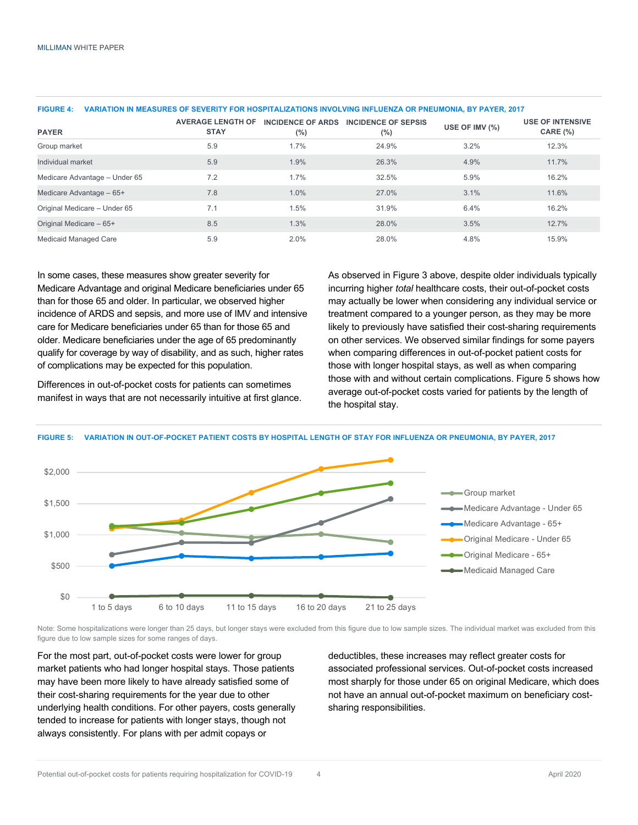| <b>PAYER</b>                  | <b>AVERAGE LENGTH OF</b><br><b>STAY</b> | <b>INCIDENCE OF ARDS</b><br>$(\%)$ | <b>INCIDENCE OF SEPSIS</b><br>$(\% )$ | USE OF IMV $(\%)$ | <b>USE OF INTENSIVE</b><br>CARE (%) |
|-------------------------------|-----------------------------------------|------------------------------------|---------------------------------------|-------------------|-------------------------------------|
| Group market                  | 5.9                                     | 1.7%                               | 24.9%                                 | 3.2%              | 12.3%                               |
| Individual market             | 5.9                                     | 1.9%                               | 26.3%                                 | 4.9%              | 11.7%                               |
| Medicare Advantage - Under 65 | 7.2                                     | 1.7%                               | 32.5%                                 | 5.9%              | 16.2%                               |
| Medicare Advantage - 65+      | 7.8                                     | 1.0%                               | 27.0%                                 | 3.1%              | 11.6%                               |
| Original Medicare - Under 65  | 7.1                                     | 1.5%                               | 31.9%                                 | 6.4%              | 16.2%                               |
| Original Medicare - 65+       | 8.5                                     | 1.3%                               | 28.0%                                 | 3.5%              | 12.7%                               |
| <b>Medicaid Managed Care</b>  | 5.9                                     | 2.0%                               | 28.0%                                 | 4.8%              | 15.9%                               |

#### **FIGURE 4: VARIATION IN MEASURES OF SEVERITY FOR HOSPITALIZATIONS INVOLVING INFLUENZA OR PNEUMONIA, BY PAYER, 2017**

In some cases, these measures show greater severity for Medicare Advantage and original Medicare beneficiaries under 65 than for those 65 and older. In particular, we observed higher incidence of ARDS and sepsis, and more use of IMV and intensive care for Medicare beneficiaries under 65 than for those 65 and older. Medicare beneficiaries under the age of 65 predominantly qualify for coverage by way of disability, and as such, higher rates of complications may be expected for this population.

Differences in out-of-pocket costs for patients can sometimes manifest in ways that are not necessarily intuitive at first glance. As observed in Figure 3 above, despite older individuals typically incurring higher *total* healthcare costs, their out-of-pocket costs may actually be lower when considering any individual service or treatment compared to a younger person, as they may be more likely to previously have satisfied their cost-sharing requirements on other services. We observed similar findings for some payers when comparing differences in out-of-pocket patient costs for those with longer hospital stays, as well as when comparing those with and without certain complications. Figure 5 shows how average out-of-pocket costs varied for patients by the length of the hospital stay.

#### **FIGURE 5: VARIATION IN OUT-OF-POCKET PATIENT COSTS BY HOSPITAL LENGTH OF STAY FOR INFLUENZA OR PNEUMONIA, BY PAYER, 2017**



Note: Some hospitalizations were longer than 25 days, but longer stays were excluded from this figure due to low sample sizes. The individual market was excluded from this figure due to low sample sizes for some ranges of days.

For the most part, out-of-pocket costs were lower for group market patients who had longer hospital stays. Those patients may have been more likely to have already satisfied some of their cost-sharing requirements for the year due to other underlying health conditions. For other payers, costs generally tended to increase for patients with longer stays, though not always consistently. For plans with per admit copays or

deductibles, these increases may reflect greater costs for associated professional services. Out-of-pocket costs increased most sharply for those under 65 on original Medicare, which does not have an annual out-of-pocket maximum on beneficiary costsharing responsibilities.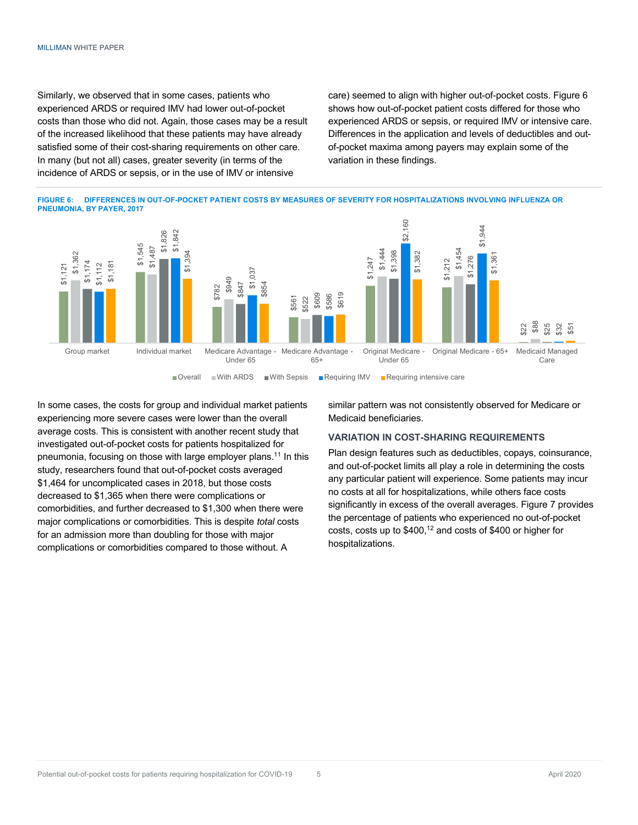Similarly, we observed that in some cases, patients who experienced ARDS or required IMV had lower out-of-pocket costs than those who did not. Again, those cases may be a result of the increased likelihood that these patients may have already satisfied some of their cost-sharing requirements on other care. In many (but not all) cases, greater severity (in terms of the incidence of ARDS or sepsis, or in the use of IMV or intensive

care) seemed to align with higher out-of-pocket costs. Figure 6 shows how out-of-pocket patient costs differed for those who experienced ARDS or sepsis, or required IMV or intensive care. Differences in the application and levels of deductibles and outof-pocket maxima among payers may explain some of the variation in these findings.





In some cases, the costs for group and individual market patients experiencing more severe cases were lower than the overall average costs. This is consistent with another recent study that investigated out-of-pocket costs for patients hospitalized for pneumonia, focusing on those with large employer plans.11 In this study, researchers found that out-of-pocket costs averaged \$1,464 for uncomplicated cases in 2018, but those costs decreased to \$1,365 when there were complications or comorbidities, and further decreased to \$1,300 when there were major complications or comorbidities. This is despite *total* costs for an admission more than doubling for those with major complications or comorbidities compared to those without. A

similar pattern was not consistently observed for Medicare or Medicaid beneficiaries.

#### **VARIATION IN COST-SHARING REQUIREMENTS**

Plan design features such as deductibles, copays, coinsurance, and out-of-pocket limits all play a role in determining the costs any particular patient will experience. Some patients may incur no costs at all for hospitalizations, while others face costs significantly in excess of the overall averages. Figure 7 provides the percentage of patients who experienced no out-of-pocket costs, costs up to \$400, <sup>12</sup> and costs of \$400 or higher for hospitalizations.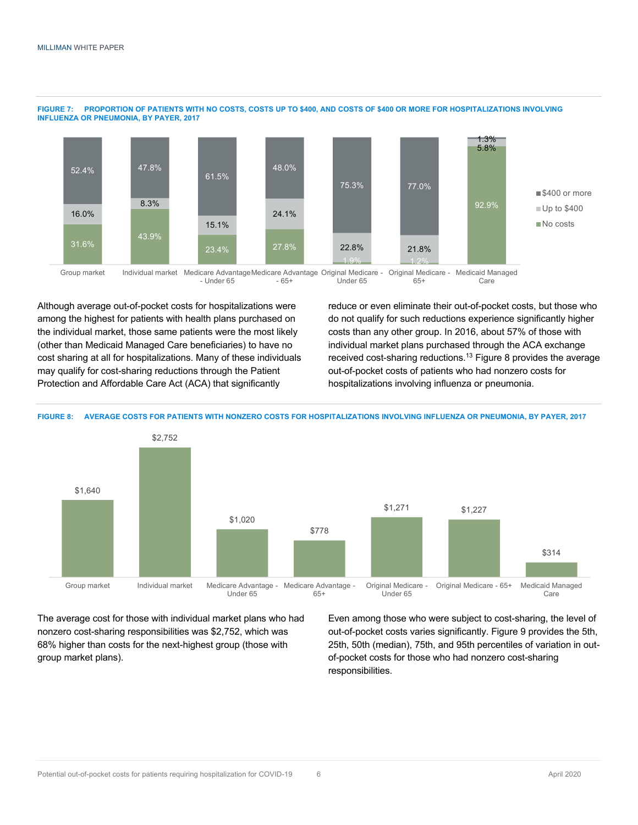

#### **FIGURE 7: PROPORTION OF PATIENTS WITH NO COSTS, COSTS UP TO \$400, AND COSTS OF \$400 OR MORE FOR HOSPITALIZATIONS INVOLVING INFLUENZA OR PNEUMONIA, BY PAYER, 2017**

Group market Individual market Medicare AdvantageMedicare Advantage Original Medicare - Original Medicare - Medicaid Managed - Under 65 - 65+ Under 65 65+ Care

Although average out-of-pocket costs for hospitalizations were among the highest for patients with health plans purchased on the individual market, those same patients were the most likely (other than Medicaid Managed Care beneficiaries) to have no cost sharing at all for hospitalizations. Many of these individuals may qualify for cost-sharing reductions through the Patient Protection and Affordable Care Act (ACA) that significantly

reduce or even eliminate their out-of-pocket costs, but those who do not qualify for such reductions experience significantly higher costs than any other group. In 2016, about 57% of those with individual market plans purchased through the ACA exchange received cost-sharing reductions.<sup>13</sup> Figure 8 provides the average out-of-pocket costs of patients who had nonzero costs for hospitalizations involving influenza or pneumonia.



The average cost for those with individual market plans who had nonzero cost-sharing responsibilities was \$2,752, which was 68% higher than costs for the next-highest group (those with group market plans).

Even among those who were subject to cost-sharing, the level of out-of-pocket costs varies significantly. Figure 9 provides the 5th, 25th, 50th (median), 75th, and 95th percentiles of variation in outof-pocket costs for those who had nonzero cost-sharing responsibilities.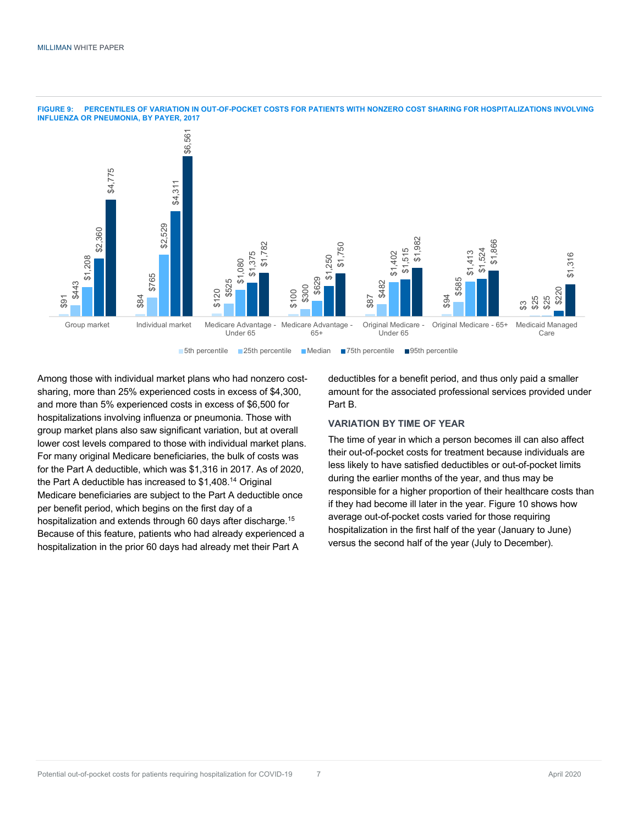

**FIGURE 9: PERCENTILES OF VARIATION IN OUT-OF-POCKET COSTS FOR PATIENTS WITH NONZERO COST SHARING FOR HOSPITALIZATIONS INVOLVING INFLUENZA OR PNEUMONIA, BY PAYER, 2017**

Among those with individual market plans who had nonzero costsharing, more than 25% experienced costs in excess of \$4,300, and more than 5% experienced costs in excess of \$6,500 for hospitalizations involving influenza or pneumonia. Those with group market plans also saw significant variation, but at overall lower cost levels compared to those with individual market plans. For many original Medicare beneficiaries, the bulk of costs was for the Part A deductible, which was \$1,316 in 2017. As of 2020, the Part A deductible has increased to \$1,408.14 Original Medicare beneficiaries are subject to the Part A deductible once per benefit period, which begins on the first day of a hospitalization and extends through 60 days after discharge.<sup>15</sup> Because of this feature, patients who had already experienced a hospitalization in the prior 60 days had already met their Part A

deductibles for a benefit period, and thus only paid a smaller amount for the associated professional services provided under Part B.

### **VARIATION BY TIME OF YEAR**

The time of year in which a person becomes ill can also affect their out-of-pocket costs for treatment because individuals are less likely to have satisfied deductibles or out-of-pocket limits during the earlier months of the year, and thus may be responsible for a higher proportion of their healthcare costs than if they had become ill later in the year. Figure 10 shows how average out-of-pocket costs varied for those requiring hospitalization in the first half of the year (January to June) versus the second half of the year (July to December).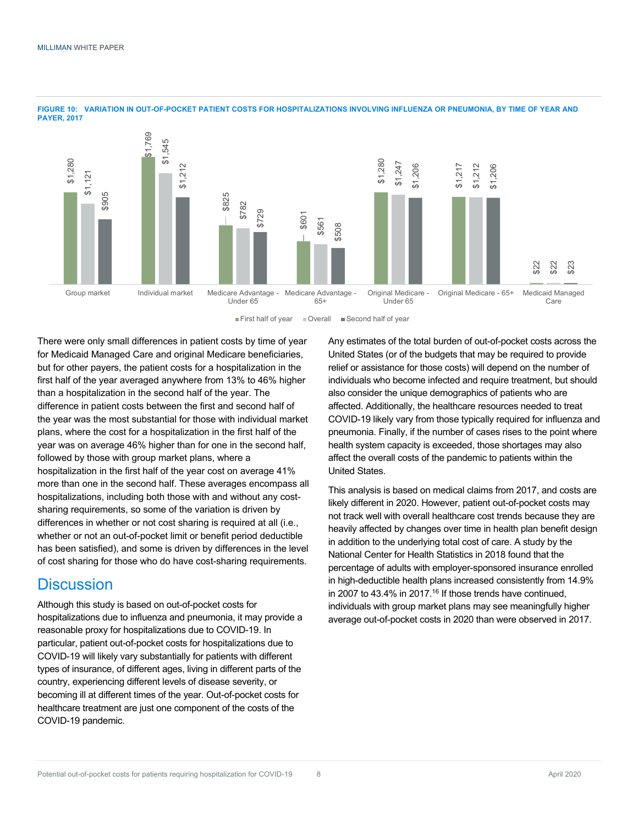

**FIGURE 10: VARIATION IN OUT-OF-POCKET PATIENT COSTS FOR HOSPITALIZATIONS INVOLVING INFLUENZA OR PNEUMONIA, BY TIME OF YEAR AND PAYER, 2017**

**First half of year** © Overall Second half of year

There were only small differences in patient costs by time of year for Medicaid Managed Care and original Medicare beneficiaries, but for other payers, the patient costs for a hospitalization in the first half of the year averaged anywhere from 13% to 46% higher than a hospitalization in the second half of the year. The difference in patient costs between the first and second half of the year was the most substantial for those with individual market plans, where the cost for a hospitalization in the first half of the year was on average 46% higher than for one in the second half, followed by those with group market plans, where a hospitalization in the first half of the year cost on average 41% more than one in the second half. These averages encompass all hospitalizations, including both those with and without any costsharing requirements, so some of the variation is driven by differences in whether or not cost sharing is required at all (i.e., whether or not an out-of-pocket limit or benefit period deductible has been satisfied), and some is driven by differences in the level of cost sharing for those who do have cost-sharing requirements.

### **Discussion**

Although this study is based on out-of-pocket costs for hospitalizations due to influenza and pneumonia, it may provide a reasonable proxy for hospitalizations due to COVID-19. In particular, patient out-of-pocket costs for hospitalizations due to COVID-19 will likely vary substantially for patients with different types of insurance, of different ages, living in different parts of the country, experiencing different levels of disease severity, or becoming ill at different times of the year. Out-of-pocket costs for healthcare treatment are just one component of the costs of the COVID-19 pandemic.

Any estimates of the total burden of out-of-pocket costs across the United States (or of the budgets that may be required to provide relief or assistance for those costs) will depend on the number of individuals who become infected and require treatment, but should also consider the unique demographics of patients who are affected. Additionally, the healthcare resources needed to treat COVID-19 likely vary from those typically required for influenza and pneumonia. Finally, if the number of cases rises to the point where health system capacity is exceeded, those shortages may also affect the overall costs of the pandemic to patients within the United States.

This analysis is based on medical claims from 2017, and costs are likely different in 2020. However, patient out-of-pocket costs may not track well with overall healthcare cost trends because they are heavily affected by changes over time in health plan benefit design in addition to the underlying total cost of care. A study by the National Center for Health Statistics in 2018 found that the percentage of adults with employer-sponsored insurance enrolled in high-deductible health plans increased consistently from 14.9% in 2007 to 43.4% in 2017.<sup>16</sup> If those trends have continued. individuals with group market plans may see meaningfully higher average out-of-pocket costs in 2020 than were observed in 2017.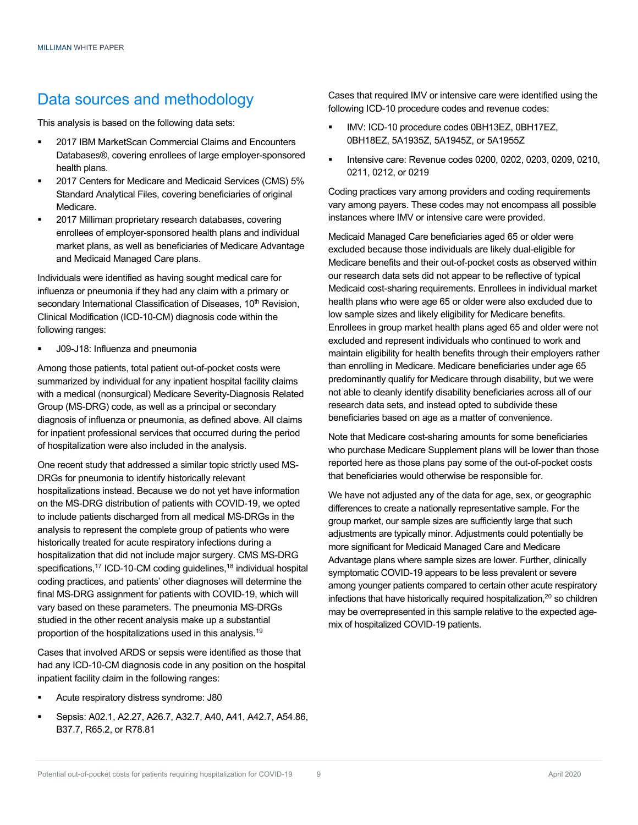### Data sources and methodology

This analysis is based on the following data sets:

- § 2017 IBM MarketScan Commercial Claims and Encounters Databases®, covering enrollees of large employer-sponsored health plans.
- § 2017 Centers for Medicare and Medicaid Services (CMS) 5% Standard Analytical Files, covering beneficiaries of original Medicare.
- § 2017 Milliman proprietary research databases, covering enrollees of employer-sponsored health plans and individual market plans, as well as beneficiaries of Medicare Advantage and Medicaid Managed Care plans.

Individuals were identified as having sought medical care for influenza or pneumonia if they had any claim with a primary or secondary International Classification of Diseases, 10<sup>th</sup> Revision, Clinical Modification (ICD-10-CM) diagnosis code within the following ranges:

§ J09-J18: Influenza and pneumonia

Among those patients, total patient out-of-pocket costs were summarized by individual for any inpatient hospital facility claims with a medical (nonsurgical) Medicare Severity-Diagnosis Related Group (MS-DRG) code, as well as a principal or secondary diagnosis of influenza or pneumonia, as defined above. All claims for inpatient professional services that occurred during the period of hospitalization were also included in the analysis.

One recent study that addressed a similar topic strictly used MS-DRGs for pneumonia to identify historically relevant hospitalizations instead. Because we do not yet have information on the MS-DRG distribution of patients with COVID-19, we opted to include patients discharged from all medical MS-DRGs in the analysis to represent the complete group of patients who were historically treated for acute respiratory infections during a hospitalization that did not include major surgery. CMS MS-DRG specifications,<sup>17</sup> ICD-10-CM coding guidelines,<sup>18</sup> individual hospital coding practices, and patients' other diagnoses will determine the final MS-DRG assignment for patients with COVID-19, which will vary based on these parameters. The pneumonia MS-DRGs studied in the other recent analysis make up a substantial proportion of the hospitalizations used in this analysis.19

Cases that involved ARDS or sepsis were identified as those that had any ICD-10-CM diagnosis code in any position on the hospital inpatient facility claim in the following ranges:

- § Acute respiratory distress syndrome: J80
- § Sepsis: A02.1, A2.27, A26.7, A32.7, A40, A41, A42.7, A54.86, B37.7, R65.2, or R78.81

Cases that required IMV or intensive care were identified using the following ICD-10 procedure codes and revenue codes:

- § IMV: ICD-10 procedure codes 0BH13EZ, 0BH17EZ, 0BH18EZ, 5A1935Z, 5A1945Z, or 5A1955Z
- § Intensive care: Revenue codes 0200, 0202, 0203, 0209, 0210, 0211, 0212, or 0219

Coding practices vary among providers and coding requirements vary among payers. These codes may not encompass all possible instances where IMV or intensive care were provided.

Medicaid Managed Care beneficiaries aged 65 or older were excluded because those individuals are likely dual-eligible for Medicare benefits and their out-of-pocket costs as observed within our research data sets did not appear to be reflective of typical Medicaid cost-sharing requirements. Enrollees in individual market health plans who were age 65 or older were also excluded due to low sample sizes and likely eligibility for Medicare benefits. Enrollees in group market health plans aged 65 and older were not excluded and represent individuals who continued to work and maintain eligibility for health benefits through their employers rather than enrolling in Medicare. Medicare beneficiaries under age 65 predominantly qualify for Medicare through disability, but we were not able to cleanly identify disability beneficiaries across all of our research data sets, and instead opted to subdivide these beneficiaries based on age as a matter of convenience.

Note that Medicare cost-sharing amounts for some beneficiaries who purchase Medicare Supplement plans will be lower than those reported here as those plans pay some of the out-of-pocket costs that beneficiaries would otherwise be responsible for.

We have not adjusted any of the data for age, sex, or geographic differences to create a nationally representative sample. For the group market, our sample sizes are sufficiently large that such adjustments are typically minor. Adjustments could potentially be more significant for Medicaid Managed Care and Medicare Advantage plans where sample sizes are lower. Further, clinically symptomatic COVID-19 appears to be less prevalent or severe among younger patients compared to certain other acute respiratory infections that have historically required hospitalization,<sup>20</sup> so children may be overrepresented in this sample relative to the expected agemix of hospitalized COVID-19 patients.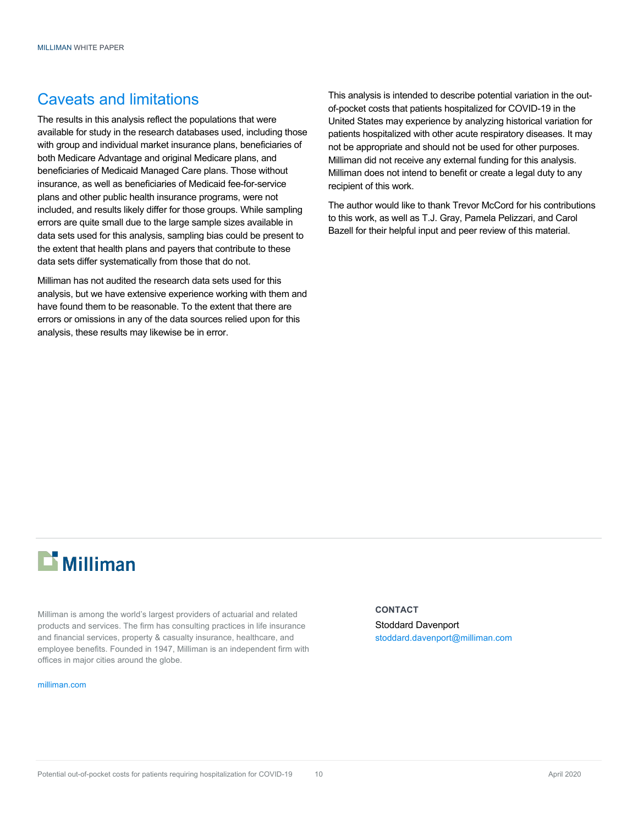### Caveats and limitations

The results in this analysis reflect the populations that were available for study in the research databases used, including those with group and individual market insurance plans, beneficiaries of both Medicare Advantage and original Medicare plans, and beneficiaries of Medicaid Managed Care plans. Those without insurance, as well as beneficiaries of Medicaid fee-for-service plans and other public health insurance programs, were not included, and results likely differ for those groups. While sampling errors are quite small due to the large sample sizes available in data sets used for this analysis, sampling bias could be present to the extent that health plans and payers that contribute to these data sets differ systematically from those that do not.

Milliman has not audited the research data sets used for this analysis, but we have extensive experience working with them and have found them to be reasonable. To the extent that there are errors or omissions in any of the data sources relied upon for this analysis, these results may likewise be in error.

This analysis is intended to describe potential variation in the outof-pocket costs that patients hospitalized for COVID-19 in the United States may experience by analyzing historical variation for patients hospitalized with other acute respiratory diseases. It may not be appropriate and should not be used for other purposes. Milliman did not receive any external funding for this analysis. Milliman does not intend to benefit or create a legal duty to any recipient of this work.

The author would like to thank Trevor McCord for his contributions to this work, as well as T.J. Gray, Pamela Pelizzari, and Carol Bazell for their helpful input and peer review of this material.

# **Li** Milliman

Milliman is among the world's largest providers of actuarial and related products and services. The firm has consulting practices in life insurance and financial services, property & casualty insurance, healthcare, and employee benefits. Founded in 1947, Milliman is an independent firm with offices in major cities around the globe.

#### milliman.com

#### **CONTACT**

Stoddard Davenport stoddard.davenport@milliman.com